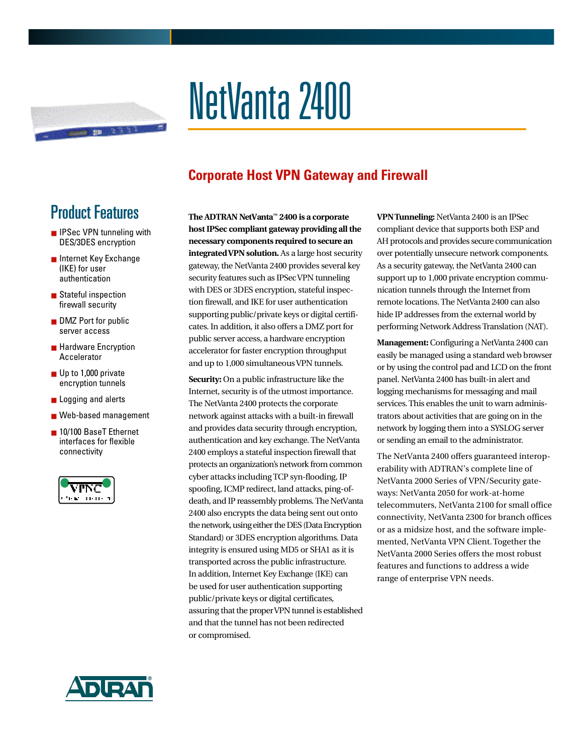

# NetVanta 2400

### **Corporate Host VPN Gateway and Firewall**

## Product Features

- IPSec VPN tunneling with DES/3DES encryption
- Internet Key Exchange (IKE) for user authentication
- Stateful inspection firewall security
- DMZ Port for public server access
- Hardware Encryption Accelerator
- Up to 1,000 private encryption tunnels
- Logging and alerts
- Web-based management
- 10/100 BaseT Ethernet interfaces for flexible c on nectivity



The ADTRAN NetVanta<sup>™</sup> 2400 is a corporate **host IPSec compliant gateway providing all the** necessary components required to secure an **integrated VPN solution.** As a large host security gateway, the NetVanta 2400 provides several key security features such as IPSec VPN tunneling with DES or 3DES encryption, stateful inspection firewall, and IKE for user authentication supporting public/private keys or digital certificates. In addition, it also offers a DMZ port for public server access, a hardware encryption accelerator for faster encryption throughput and up to 1,000 simultaneous VPN tunnels.

**Security:** On a public infrastructure like the Internet, security is of the utmost importance. The NetVanta 2400 protects the corporate network against attacks with a built-in fire wall and provides data security through encryption, authentication and key exchange. The Net Vanta 2400 employs a stateful inspection firewall that protects an organization's network from common cyber attacks including TCP syn-flooding, IP spoofing, ICMP redirect, land attacks, ping-ofdeath, and IP reassembly problems. The NetVanta 2400 also encrypts the data being sent out onto the network, using either the DES (Data Encryption Standard) or 3DES encryption algorithms. Data integrity is ensured using MD5 or SHA1 as it is transported across the public infrastructure. In addition, Internet Key Exchange (IKE) can be used for user authentication supporting public/private keys or digital certificates, assuring that the proper VPN tunnel is established and that the tunnel has not been redirected or compromised.

**VPN Tunneling: Net Vanta 2400 is an IPSec** compliant device that supports both ESP and AH protocols and provides secure communication over potentially unsecure network components. As a security gateway, the NetVanta 2400 can support up to 1,000 private encryption communication tunnels through the Internet from remote locations. The Net Vanta 2400 can also hide IP addresses from the external world by performing Network Address Translation (NAT).

**Management:** Configuring a NetVanta 2400 can easily be managed using a standard web browser or by using the control pad and LCD on the front panel. Net Vanta 2400 has built-in alert and logging mechanisms for messaging and mail services. This enables the unit to warn administrators about activities that are going on in the network by logging them into a SYSLOG server or sending an email to the administrator.

The NetVanta 2400 offers guaranteed interoperability with ADTRAN's complete line of NetVanta 2000 Series of VPN/Security gateways: NetVanta 2050 for work-at-home telecommuters, NetVanta 2100 for small office connectivity, NetVanta 2300 for branch offices or as a midsize host, and the software implemented, NetVanta VPN Client. Together the NetVanta 2000 Series offers the most robust features and functions to address a wide range of enterprise VPN needs.